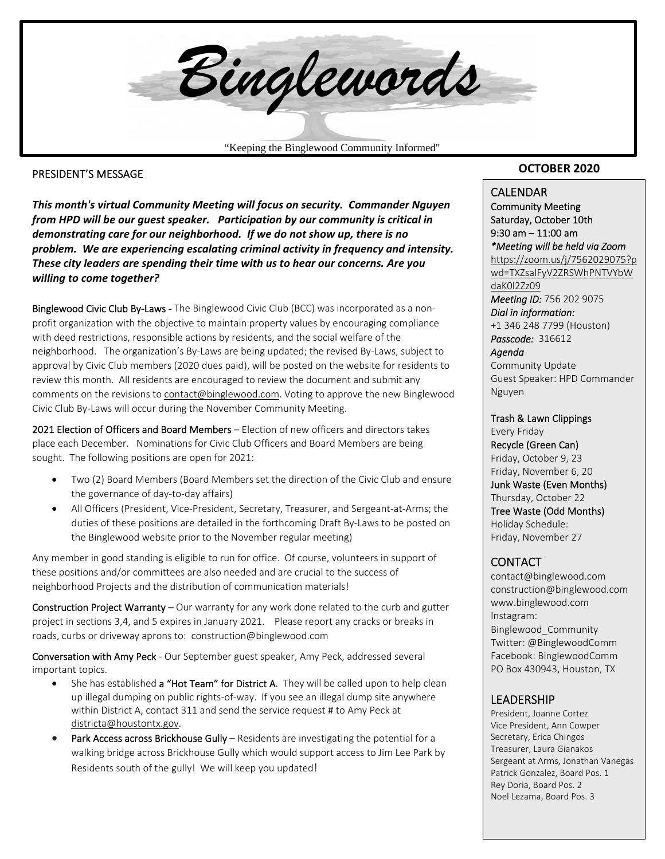

#### PRESIDENT'S MESSAGE

*This month's virtual Community Meeting will focus on security. Commander Nguyen from HPD will be our guest speaker. Participation by our community is critical in demonstrating care for our neighborhood. If we do not show up, there is no problem. We are experiencing escalating criminal activity in frequency and intensity. These city leaders are spending their time with us to hear our concerns. Are you willing to come together?* 

Binglewood Civic Club By-Laws - The Binglewood Civic Club (BCC) was incorporated as a nonprofit organization with the objective to maintain property values by encouraging compliance with deed restrictions, responsible actions by residents, and the social welfare of the neighborhood. The organization's By‐Laws are being updated; the revised By‐Laws, subject to approval by Civic Club members (2020 dues paid), will be posted on the website for residents to review this month. All residents are encouraged to review the document and submit any comments on the revisions to contact@binglewood.com. Voting to approve the new Binglewood Civic Club By‐Laws will occur during the November Community Meeting.

2021 Election of Officers and Board Members – Election of new officers and directors takes place each December. Nominations for Civic Club Officers and Board Members are being sought. The following positions are open for 2021:

- Two (2) Board Members (Board Members set the direction of the Civic Club and ensure the governance of day‐to‐day affairs)
- All Officers (President, Vice‐President, Secretary, Treasurer, and Sergeant‐at‐Arms; the duties of these positions are detailed in the forthcoming Draft By‐Laws to be posted on the Binglewood website prior to the November regular meeting)

Any member in good standing is eligible to run for office. Of course, volunteers in support of these positions and/or committees are also needed and are crucial to the success of neighborhood Projects and the distribution of communication materials!

Construction Project Warranty - Our warranty for any work done related to the curb and gutter project in sections 3,4, and 5 expires in January 2021. Please report any cracks or breaks in roads, curbs or driveway aprons to: construction@binglewood.com

Conversation with Amy Peck - Our September guest speaker, Amy Peck, addressed several important topics.

- She has established a "Hot Team" for District A. They will be called upon to help clean up illegal dumping on public rights‐of‐way. If you see an illegal dump site anywhere within District A, contact 311 and send the service request # to Amy Peck at districta@houstontx.gov.
- Park Access across Brickhouse Gully Residents are investigating the potential for a walking bridge across Brickhouse Gully which would support access to Jim Lee Park by Residents south of the gully! We will keep you updated!

#### **OCTOBER 2020**

#### **CALENDAR**

Community Meeting Saturday, October 10th 9:30 am – 11:00 am *\*Meeting will be held via Zoom*  https://zoom.us/j/7562029075?p wd=TXZsalFyV2ZRSWhPNTVYbW daK0l2Zz09 *Meeting ID:* 756 202 9075 *Dial in information:* 

+1 346 248 7799 (Houston) *Passcode:* 316612

*Agenda*  Community Update Guest Speaker: HPD Commander Nguyen

Trash & Lawn Clippings Every Friday Recycle (Green Can) Friday, October 9, 23 Friday, November 6, 20

Junk Waste (Even Months) Thursday, October 22

Tree Waste (Odd Months) Holiday Schedule: Friday, November 27

#### **CONTACT**

contact@binglewood.com construction@binglewood.com www.binglewood.com Instagram: Binglewood\_Community Twitter: @BinglewoodComm Facebook: BinglewoodComm PO Box 430943, Houston, TX

#### LEADERSHIP

 Sergeant at Arms, Jonathan Vanegas President, Joanne Cortez Vice President, Ann Cowper Secretary, Erica Chingos Treasurer, Laura Gianakos Patrick Gonzalez, Board Pos. 1 Rey Doria, Board Pos. 2 Noel Lezama, Board Pos. 3